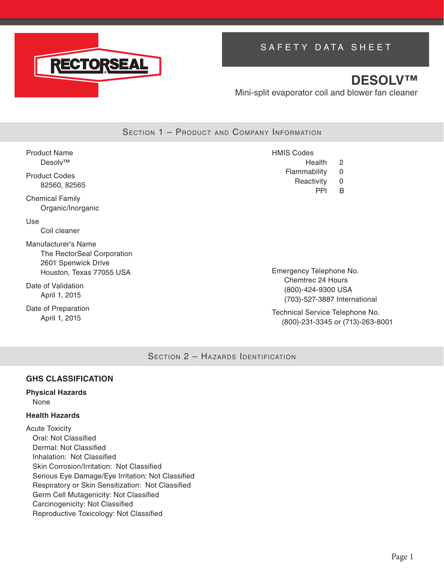

# SAFETY DATA SHEET

# **DESOLV™**

Mini-split evaporator coil and blower fan cleaner

SECTION 1 - PRODUCT AND COMPANY INFORMATION

| <b>Product Name</b>                                                                                  | <b>HMIS Codes</b>                                       |
|------------------------------------------------------------------------------------------------------|---------------------------------------------------------|
| Desolv™                                                                                              | Health<br>2                                             |
| <b>Product Codes</b><br>82560, 82565                                                                 | Flammability<br>0<br>Reactivity<br>0<br><b>PPI</b><br>B |
| <b>Chemical Family</b><br>Organic/Inorganic                                                          |                                                         |
| Use<br>Coil cleaner                                                                                  |                                                         |
| Manufacturer's Name<br>The RectorSeal Corporation<br>2601 Spenwick Drive<br>Houston, Texas 77055 USA | Emergency Telephone No.<br>Chamtrac 24 Houre            |

Date of Validation April 1, 2015

Date of Preparation April 1, 2015

Chemtrec 24 Hours (800)-424-9300 USA (703)-527-3887 International

Technical Service Telephone No. (800)-231-3345 or (713)-263-8001

SECTION 2 - HAZARDS IDENTIFICATION

### **GHS CLASSIFICATION**

#### **Physical Hazards** None

### **Health Hazards**

Acute Toxicity Oral: Not Classified Dermal: Not Classified Inhalation: Not Classified Skin Corrosion/Irritation: Not Classified Serious Eye Damage/Eye Irritation: Not Classified Respiratory or Skin Sensitization: Not Classified Germ Cell Mutagenicity: Not Classified Carcinogenicity: Not Classified Reproductive Toxicology: Not Classified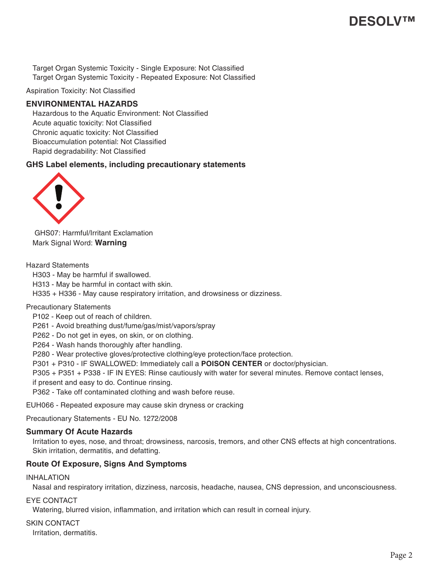Target Organ Systemic Toxicity - Single Exposure: Not Classified Target Organ Systemic Toxicity - Repeated Exposure: Not Classified

Aspiration Toxicity: Not Classified

### **ENVIRONMENTAL HAZARDS**

Hazardous to the Aquatic Environment: Not Classified Acute aquatic toxicity: Not Classified Chronic aquatic toxicity: Not Classified Bioaccumulation potential: Not Classified Rapid degradability: Not Classified

### **GHS Label elements, including precautionary statements**



GHS07: Harmful/Irritant Exclamation Mark Signal Word: **Warning**

Hazard Statements

H303 - May be harmful if swallowed. H313 - May be harmful in contact with skin. H335 + H336 - May cause respiratory irritation, and drowsiness or dizziness.

### Precautionary Statements

P102 - Keep out of reach of children.

P261 - Avoid breathing dust/fume/gas/mist/vapors/spray

P262 - Do not get in eyes, on skin, or on clothing.

P264 - Wash hands thoroughly after handling.

P280 - Wear protective gloves/protective clothing/eye protection/face protection.

P301 + P310 - IF SWALLOWED: Immediately call a **POISON CENTER** or doctor/physician.

P305 + P351 + P338 - IF IN EYES: Rinse cautiously with water for several minutes. Remove contact lenses,

if present and easy to do. Continue rinsing.

P362 - Take off contaminated clothing and wash before reuse.

EUH066 - Repeated exposure may cause skin dryness or cracking

Precautionary Statements - EU No. 1272/2008

### **Summary Of Acute Hazards**

Irritation to eyes, nose, and throat; drowsiness, narcosis, tremors, and other CNS effects at high concentrations. Skin irritation, dermatitis, and defatting.

### **Route Of Exposure, Signs And Symptoms**

#### INHALATION

Nasal and respiratory irritation, dizziness, narcosis, headache, nausea, CNS depression, and unconsciousness.

EYE CONTACT

Watering, blurred vision, inflammation, and irritation which can result in corneal injury.

SKIN CONTACT

Irritation, dermatitis.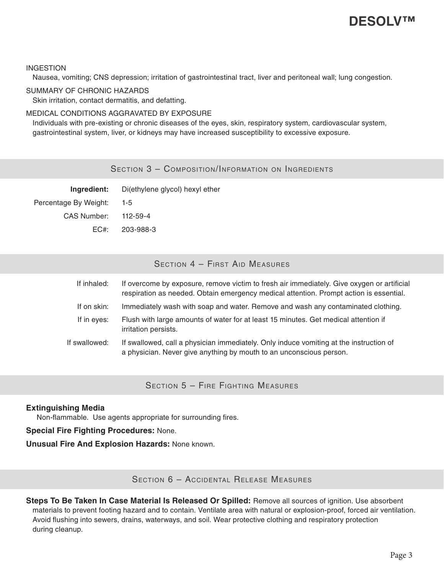#### INGESTION

Nausea, vomiting; CNS depression; irritation of gastrointestinal tract, liver and peritoneal wall; lung congestion.

#### SUMMARY OF CHRONIC HAZARDS

Skin irritation, contact dermatitis, and defatting.

### MEDICAL CONDITIONS AGGRAVATED BY EXPOSURE

Individuals with pre-existing or chronic diseases of the eyes, skin, respiratory system, cardiovascular system, gastrointestinal system, liver, or kidneys may have increased susceptibility to excessive exposure.

SECTION 3 - COMPOSITION/INFORMATION ON INGREDIENTS

| Ingredient:           | Di(ethylene glycol) hexyl ether |
|-----------------------|---------------------------------|
| Percentage By Weight: | $1 - 5$                         |
| CAS Number: 112-59-4  |                                 |
|                       | EC#: 203-988-3                  |

### SECTION 4 - FIRST AID MEASURES

| If overcome by exposure, remove victim to fresh air immediately. Give oxygen or artificial<br>respiration as needed. Obtain emergency medical attention. Prompt action is essential. |
|--------------------------------------------------------------------------------------------------------------------------------------------------------------------------------------|
| Immediately wash with soap and water. Remove and wash any contaminated clothing.                                                                                                     |
| Flush with large amounts of water for at least 15 minutes. Get medical attention if                                                                                                  |
| If swallowed, call a physician immediately. Only induce vomiting at the instruction of<br>a physician. Never give anything by mouth to an unconscious person.                        |
|                                                                                                                                                                                      |

Section 5 – Fire Fighting Measures

### **Extinguishing Media**

Non-flammable. Use agents appropriate for surrounding fires.

### **Special Fire Fighting Procedures:** None.

**Unusual Fire And Explosion Hazards:** None known.

Section 6 – Accidental Release Measures

**Steps To Be Taken In Case Material Is Released Or Spilled:** Remove all sources of ignition. Use absorbent materials to prevent footing hazard and to contain. Ventilate area with natural or explosion-proof, forced air ventilation. Avoid flushing into sewers, drains, waterways, and soil. Wear protective clothing and respiratory protection during cleanup.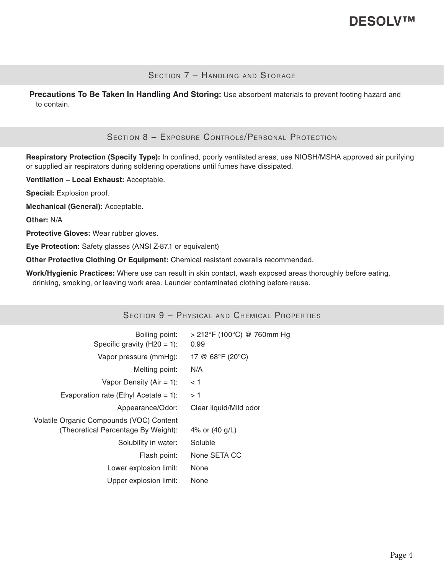### SECTION 7 - HANDLING AND STORAGE

**Precautions To Be Taken In Handling And Storing:** Use absorbent materials to prevent footing hazard and to contain.

### Section 8 – Exposure Controls/Personal Protection

**Respiratory Protection (Specify Type):** In confined, poorly ventilated areas, use NIOSH/MSHA approved air purifying or supplied air respirators during soldering operations until fumes have dissipated.

**Ventilation − Local Exhaust:** Acceptable.

**Special:** Explosion proof.

**Mechanical (General):** Acceptable.

**Other:** N/A

**Protective Gloves:** Wear rubber gloves.

**Eye Protection:** Safety glasses (ANSI Z-87.1 or equivalent)

**Other Protective Clothing Or Equipment:** Chemical resistant coveralls recommended.

**Work/Hygienic Practices:** Where use can result in skin contact, wash exposed areas thoroughly before eating, drinking, smoking, or leaving work area. Launder contaminated clothing before reuse.

| SECTION 9 - PHYSICAL AND CHEMICAL PROPERTIES                                    |                                      |  |
|---------------------------------------------------------------------------------|--------------------------------------|--|
| Boiling point:<br>Specific gravity $(H20 = 1)$ :                                | $>$ 212°F (100°C) @ 760mm Hg<br>0.99 |  |
| Vapor pressure (mmHg):                                                          | 17 @ 68°F (20°C)                     |  |
| Melting point:                                                                  | N/A                                  |  |
| Vapor Density (Air = 1):                                                        | < 1                                  |  |
| Evaporation rate (Ethyl Acetate = 1):                                           | >1                                   |  |
| Appearance/Odor:                                                                | Clear liquid/Mild odor               |  |
| Volatile Organic Compounds (VOC) Content<br>(Theoretical Percentage By Weight): | 4% or $(40 \text{ g/L})$             |  |
| Solubility in water:                                                            | Soluble                              |  |
| Flash point:                                                                    | None SETA CC                         |  |
| Lower explosion limit:                                                          | None                                 |  |
| Upper explosion limit:                                                          | None                                 |  |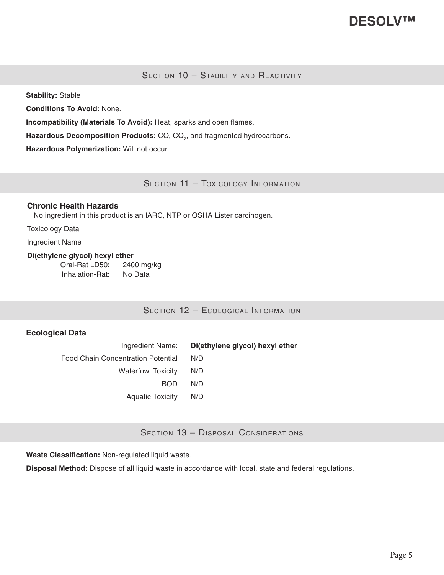SECTION 10 - STABILITY AND REACTIVITY

**Stability:** Stable

**Conditions To Avoid:** None.

**Incompatibility (Materials To Avoid):** Heat, sparks and open flames.

Hazardous Decomposition Products: CO, CO<sub>2</sub>, and fragmented hydrocarbons.

**Hazardous Polymerization:** Will not occur.

SECTION 11 - TOXICOLOGY INFORMATION

#### **Chronic Health Hazards**

No ingredient in this product is an IARC, NTP or OSHA Lister carcinogen.

Toxicology Data

Ingredient Name

#### **Di(ethylene glycol) hexyl ether**

Oral-Rat LD50: 2400 mg/kg Inhalation-Rat: No Data

SECTION 12 - ECOLOGICAL INFORMATION

### **Ecological Data**

Ingredient Name: **Di(ethylene glycol) hexyl ether** Food Chain Concentration Potential N/D Waterfowl Toxicity N/D BOD N/D Aquatic Toxicity N/D

SECTION 13 - DISPOSAL CONSIDERATIONS

**Waste Classification:** Non-regulated liquid waste.

**Disposal Method:** Dispose of all liquid waste in accordance with local, state and federal regulations.